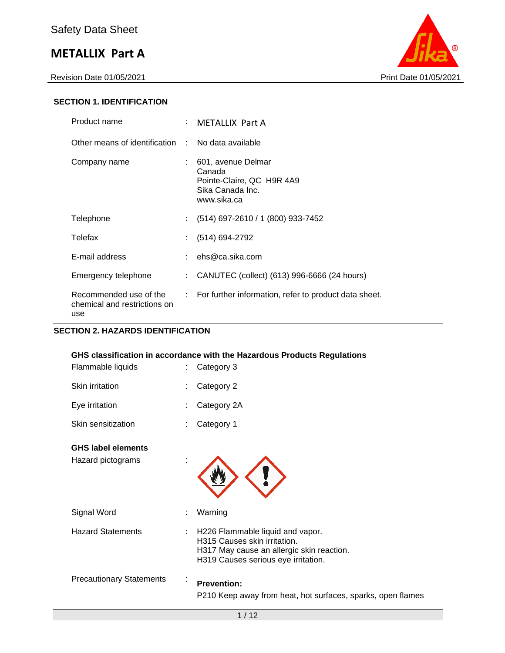Revision Date 01/05/2021 Print Date 01/05/2021



## **SECTION 1. IDENTIFICATION**

| Product name                                                  | : METALLIX Part A                                                                            |
|---------------------------------------------------------------|----------------------------------------------------------------------------------------------|
| Other means of identification : No data available             |                                                                                              |
| Company name                                                  | 601, avenue Delmar<br>Canada<br>Pointe-Claire, QC H9R 4A9<br>Sika Canada Inc.<br>www.sika.ca |
| Telephone                                                     | $(514)$ 697-2610 / 1 (800) 933-7452                                                          |
| Telefax                                                       | $(514) 694-2792$                                                                             |
| E-mail address                                                | : $ehs@ca.sika.com$                                                                          |
| Emergency telephone                                           | CANUTEC (collect) (613) 996-6666 (24 hours)                                                  |
| Recommended use of the<br>chemical and restrictions on<br>use | : For further information, refer to product data sheet.                                      |

## **SECTION 2. HAZARDS IDENTIFICATION**

|                                                | GHS classification in accordance with the Hazardous Products Regulations                                                                             |
|------------------------------------------------|------------------------------------------------------------------------------------------------------------------------------------------------------|
| Flammable liquids                              | Category 3                                                                                                                                           |
| Skin irritation                                | Category 2                                                                                                                                           |
| Eye irritation                                 | Category 2A                                                                                                                                          |
| Skin sensitization                             | Category 1                                                                                                                                           |
| <b>GHS label elements</b><br>Hazard pictograms |                                                                                                                                                      |
| Signal Word                                    | Warning                                                                                                                                              |
| <b>Hazard Statements</b>                       | H226 Flammable liquid and vapor.<br>H315 Causes skin irritation.<br>H317 May cause an allergic skin reaction.<br>H319 Causes serious eye irritation. |
| <b>Precautionary Statements</b>                | <b>Prevention:</b><br>P210 Keep away from heat, hot surfaces, sparks, open flames                                                                    |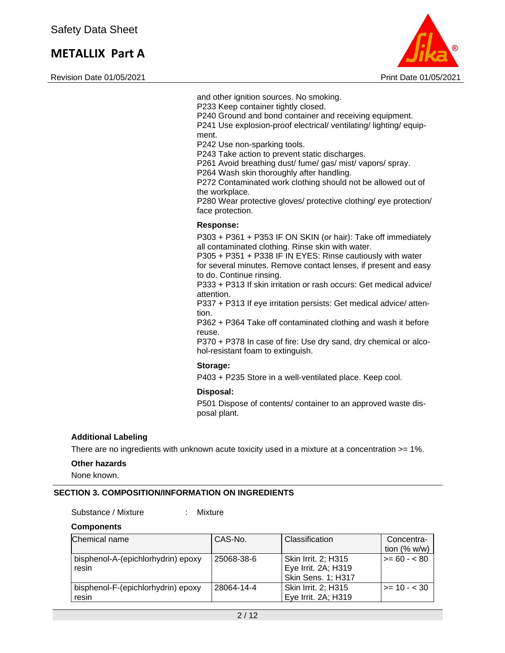Revision Date 01/05/2021 Print Date 01/05/2021



and other ignition sources. No smoking. P233 Keep container tightly closed. P240 Ground and bond container and receiving equipment. P241 Use explosion-proof electrical/ ventilating/ lighting/ equipment. P242 Use non-sparking tools. P243 Take action to prevent static discharges.

P261 Avoid breathing dust/ fume/ gas/ mist/ vapors/ spray.

P264 Wash skin thoroughly after handling.

P272 Contaminated work clothing should not be allowed out of the workplace.

P280 Wear protective gloves/ protective clothing/ eye protection/ face protection.

#### **Response:**

P303 + P361 + P353 IF ON SKIN (or hair): Take off immediately all contaminated clothing. Rinse skin with water.

P305 + P351 + P338 IF IN EYES: Rinse cautiously with water for several minutes. Remove contact lenses, if present and easy to do. Continue rinsing.

P333 + P313 If skin irritation or rash occurs: Get medical advice/ attention.

P337 + P313 If eye irritation persists: Get medical advice/ attention.

P362 + P364 Take off contaminated clothing and wash it before reuse.

P370 + P378 In case of fire: Use dry sand, dry chemical or alcohol-resistant foam to extinguish.

#### **Storage:**

P403 + P235 Store in a well-ventilated place. Keep cool.

#### **Disposal:**

P501 Dispose of contents/ container to an approved waste disposal plant.

#### **Additional Labeling**

There are no ingredients with unknown acute toxicity used in a mixture at a concentration >= 1%.

#### **Other hazards**

None known.

#### **SECTION 3. COMPOSITION/INFORMATION ON INGREDIENTS**

Substance / Mixture : Mixture

| <b>Components</b> |  |  |
|-------------------|--|--|
|-------------------|--|--|

| Chemical name                      | CAS-No.    | Classification            | Concentra-<br>tion $(\% w/w)$ |
|------------------------------------|------------|---------------------------|-------------------------------|
|                                    |            |                           |                               |
| bisphenol-A-(epichlorhydrin) epoxy | 25068-38-6 | Skin Irrit. 2; H315       | $>= 60 - 80$                  |
| resin                              |            | Eye Irrit. 2A; H319       |                               |
|                                    |            | <b>Skin Sens. 1; H317</b> |                               |
| bisphenol-F-(epichlorhydrin) epoxy | 28064-14-4 | Skin Irrit. 2; H315       | $>= 10 - 30$                  |
| resin                              |            | Eye Irrit. 2A; H319       |                               |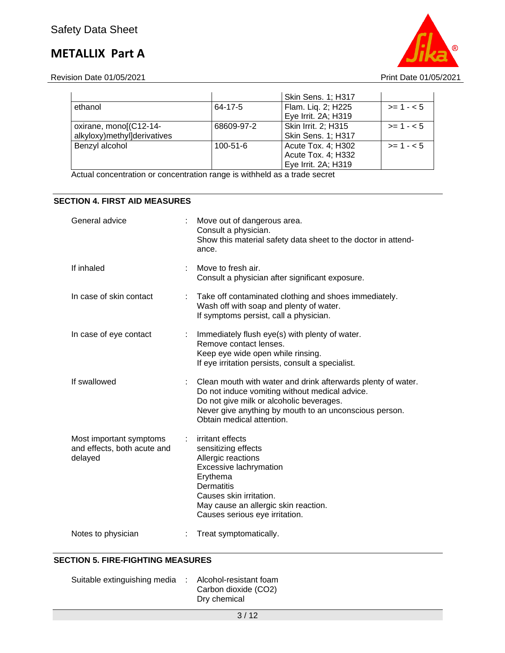Revision Date 01/05/2021 2021

|                             |                | <b>Skin Sens. 1; H317</b> |            |
|-----------------------------|----------------|---------------------------|------------|
| ethanol                     | 64-17-5        | Flam. Liq. 2; H225        | $>= 1 - 5$ |
|                             |                | Eye Irrit. 2A; H319       |            |
| oxirane, mono[(C12-14-      | 68609-97-2     | Skin Irrit. 2; H315       | $>= 1 - 5$ |
| alkyloxy)methyl]derivatives |                | <b>Skin Sens. 1; H317</b> |            |
| Benzyl alcohol              | $100 - 51 - 6$ | Acute Tox. 4; H302        | $>= 1 - 5$ |
|                             |                | Acute Tox. 4; H332        |            |
|                             |                | Eye Irrit. 2A; H319       |            |

Actual concentration or concentration range is withheld as a trade secret

## **SECTION 4. FIRST AID MEASURES**

| General advice                                                    |    | Move out of dangerous area.<br>Consult a physician.<br>Show this material safety data sheet to the doctor in attend-<br>ance.                                                                                                                     |
|-------------------------------------------------------------------|----|---------------------------------------------------------------------------------------------------------------------------------------------------------------------------------------------------------------------------------------------------|
| If inhaled                                                        |    | Move to fresh air.<br>Consult a physician after significant exposure.                                                                                                                                                                             |
| In case of skin contact                                           |    | Take off contaminated clothing and shoes immediately.<br>Wash off with soap and plenty of water.<br>If symptoms persist, call a physician.                                                                                                        |
| In case of eye contact                                            |    | Immediately flush eye(s) with plenty of water.<br>Remove contact lenses.<br>Keep eye wide open while rinsing.<br>If eye irritation persists, consult a specialist.                                                                                |
| If swallowed                                                      |    | Clean mouth with water and drink afterwards plenty of water.<br>Do not induce vomiting without medical advice.<br>Do not give milk or alcoholic beverages.<br>Never give anything by mouth to an unconscious person.<br>Obtain medical attention. |
| Most important symptoms<br>and effects, both acute and<br>delayed | t. | irritant effects<br>sensitizing effects<br>Allergic reactions<br>Excessive lachrymation<br>Erythema<br><b>Dermatitis</b><br>Causes skin irritation.<br>May cause an allergic skin reaction.<br>Causes serious eye irritation.                     |
| Notes to physician                                                |    | Treat symptomatically.                                                                                                                                                                                                                            |

## **SECTION 5. FIRE-FIGHTING MEASURES**

| Suitable extinguishing media : Alcohol-resistant foam |                      |
|-------------------------------------------------------|----------------------|
|                                                       | Carbon dioxide (CO2) |
|                                                       | Dry chemical         |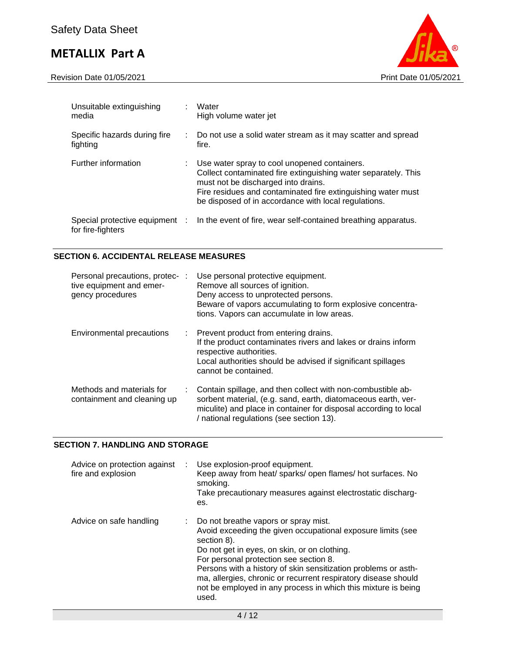Revision Date 01/05/2021 Print Date 01/05/2021



| Unsuitable extinguishing<br>media                   | Water<br>High volume water jet                                                                                                                                                                                                                                                |
|-----------------------------------------------------|-------------------------------------------------------------------------------------------------------------------------------------------------------------------------------------------------------------------------------------------------------------------------------|
| Specific hazards during fire<br>fighting            | Do not use a solid water stream as it may scatter and spread<br>fire.                                                                                                                                                                                                         |
| Further information                                 | Use water spray to cool unopened containers.<br>Collect contaminated fire extinguishing water separately. This<br>must not be discharged into drains.<br>Fire residues and contaminated fire extinguishing water must<br>be disposed of in accordance with local regulations. |
| Special protective equipment :<br>for fire-fighters | In the event of fire, wear self-contained breathing apparatus.                                                                                                                                                                                                                |

## **SECTION 6. ACCIDENTAL RELEASE MEASURES**

| Personal precautions, protec- :<br>tive equipment and emer-<br>gency procedures |    | Use personal protective equipment.<br>Remove all sources of ignition.<br>Deny access to unprotected persons.<br>Beware of vapors accumulating to form explosive concentra-<br>tions. Vapors can accumulate in low areas.                     |
|---------------------------------------------------------------------------------|----|----------------------------------------------------------------------------------------------------------------------------------------------------------------------------------------------------------------------------------------------|
| Environmental precautions                                                       |    | : Prevent product from entering drains.<br>If the product contaminates rivers and lakes or drains inform<br>respective authorities.<br>Local authorities should be advised if significant spillages<br>cannot be contained.                  |
| Methods and materials for<br>containment and cleaning up                        | ÷. | Contain spillage, and then collect with non-combustible ab-<br>sorbent material, (e.g. sand, earth, diatomaceous earth, ver-<br>miculite) and place in container for disposal according to local<br>/ national regulations (see section 13). |

## **SECTION 7. HANDLING AND STORAGE**

| Advice on protection against<br>fire and explosion | ÷. | Use explosion-proof equipment.<br>Keep away from heat/ sparks/ open flames/ hot surfaces. No<br>smoking.<br>Take precautionary measures against electrostatic discharg-<br>es.                                                                                                                                                                                                                                               |
|----------------------------------------------------|----|------------------------------------------------------------------------------------------------------------------------------------------------------------------------------------------------------------------------------------------------------------------------------------------------------------------------------------------------------------------------------------------------------------------------------|
| Advice on safe handling                            |    | : Do not breathe vapors or spray mist.<br>Avoid exceeding the given occupational exposure limits (see<br>section 8).<br>Do not get in eyes, on skin, or on clothing.<br>For personal protection see section 8.<br>Persons with a history of skin sensitization problems or asth-<br>ma, allergies, chronic or recurrent respiratory disease should<br>not be employed in any process in which this mixture is being<br>used. |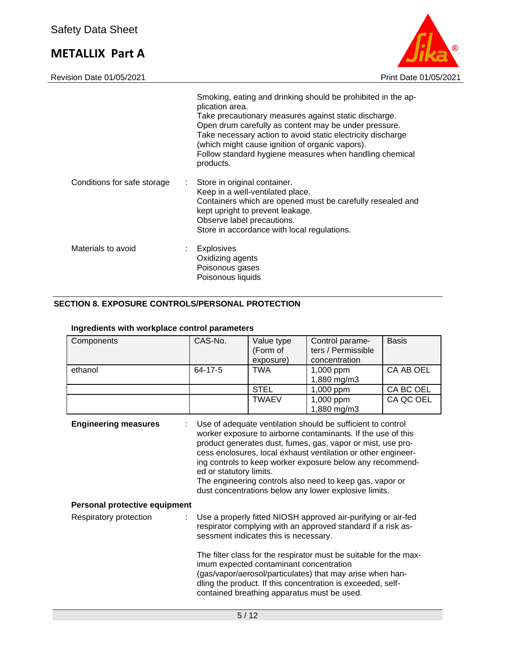



|                             | Smoking, eating and drinking should be prohibited in the ap-<br>plication area.<br>Take precautionary measures against static discharge.<br>Open drum carefully as content may be under pressure.<br>Take necessary action to avoid static electricity discharge<br>(which might cause ignition of organic vapors).<br>Follow standard hygiene measures when handling chemical<br>products. |
|-----------------------------|---------------------------------------------------------------------------------------------------------------------------------------------------------------------------------------------------------------------------------------------------------------------------------------------------------------------------------------------------------------------------------------------|
| Conditions for safe storage | Store in original container.<br>Keep in a well-ventilated place.<br>Containers which are opened must be carefully resealed and<br>kept upright to prevent leakage.<br>Observe label precautions.<br>Store in accordance with local regulations.                                                                                                                                             |
| Materials to avoid          | <b>Explosives</b><br>Oxidizing agents<br>Poisonous gases<br>Poisonous liquids                                                                                                                                                                                                                                                                                                               |

## **SECTION 8. EXPOSURE CONTROLS/PERSONAL PROTECTION**

| Components                    | CAS-No.                                                                                                                                                                                                                                                                                                                                                                                                                                                                  | Value type<br>(Form of | Control parame-<br>ters / Permissible | <b>Basis</b> |  |  |
|-------------------------------|--------------------------------------------------------------------------------------------------------------------------------------------------------------------------------------------------------------------------------------------------------------------------------------------------------------------------------------------------------------------------------------------------------------------------------------------------------------------------|------------------------|---------------------------------------|--------------|--|--|
|                               |                                                                                                                                                                                                                                                                                                                                                                                                                                                                          | exposure)              | concentration                         |              |  |  |
|                               |                                                                                                                                                                                                                                                                                                                                                                                                                                                                          |                        |                                       |              |  |  |
| ethanol                       | 64-17-5                                                                                                                                                                                                                                                                                                                                                                                                                                                                  | <b>TWA</b>             | 1,000 ppm                             | CA AB OEL    |  |  |
|                               |                                                                                                                                                                                                                                                                                                                                                                                                                                                                          |                        | 1,880 mg/m3                           |              |  |  |
|                               |                                                                                                                                                                                                                                                                                                                                                                                                                                                                          | <b>STEL</b>            | 1,000 ppm                             | CA BC OEL    |  |  |
|                               |                                                                                                                                                                                                                                                                                                                                                                                                                                                                          | <b>TWAEV</b>           | 1,000 ppm                             | CA QC OEL    |  |  |
|                               |                                                                                                                                                                                                                                                                                                                                                                                                                                                                          |                        | 1,880 mg/m3                           |              |  |  |
| <b>Engineering measures</b>   | Use of adequate ventilation should be sufficient to control<br>worker exposure to airborne contaminants. If the use of this<br>product generates dust, fumes, gas, vapor or mist, use pro-<br>cess enclosures, local exhaust ventilation or other engineer-<br>ing controls to keep worker exposure below any recommend-<br>ed or statutory limits.<br>The engineering controls also need to keep gas, vapor or<br>dust concentrations below any lower explosive limits. |                        |                                       |              |  |  |
| Personal protective equipment |                                                                                                                                                                                                                                                                                                                                                                                                                                                                          |                        |                                       |              |  |  |
| Respiratory protection        | Use a properly fitted NIOSH approved air-purifying or air-fed<br>respirator complying with an approved standard if a risk as-<br>sessment indicates this is necessary.                                                                                                                                                                                                                                                                                                   |                        |                                       |              |  |  |
|                               | The filter class for the respirator must be suitable for the max-<br>imum expected contaminant concentration<br>(gas/vapor/aerosol/particulates) that may arise when han-<br>dling the product. If this concentration is exceeded, self-<br>contained breathing apparatus must be used.                                                                                                                                                                                  |                        |                                       |              |  |  |

## **Ingredients with workplace control parameters**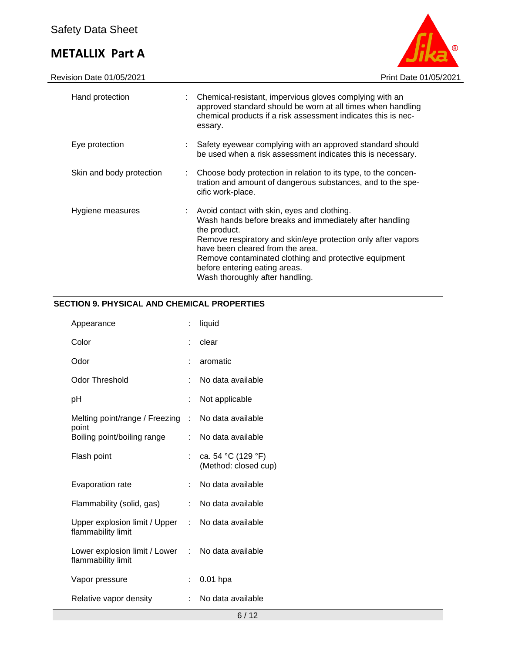

| Hand protection          | : Chemical-resistant, impervious gloves complying with an<br>approved standard should be worn at all times when handling<br>chemical products if a risk assessment indicates this is nec-<br>essary.                                                                                                                                                    |
|--------------------------|---------------------------------------------------------------------------------------------------------------------------------------------------------------------------------------------------------------------------------------------------------------------------------------------------------------------------------------------------------|
| Eye protection           | Safety eyewear complying with an approved standard should<br>be used when a risk assessment indicates this is necessary.                                                                                                                                                                                                                                |
| Skin and body protection | : Choose body protection in relation to its type, to the concen-<br>tration and amount of dangerous substances, and to the spe-<br>cific work-place.                                                                                                                                                                                                    |
| Hygiene measures         | Avoid contact with skin, eyes and clothing.<br>Wash hands before breaks and immediately after handling<br>the product.<br>Remove respiratory and skin/eye protection only after vapors<br>have been cleared from the area.<br>Remove contaminated clothing and protective equipment<br>before entering eating areas.<br>Wash thoroughly after handling. |

## **SECTION 9. PHYSICAL AND CHEMICAL PROPERTIES**

| Appearance                                                              | t. | liquid                                     |
|-------------------------------------------------------------------------|----|--------------------------------------------|
| Color                                                                   | t. | clear                                      |
| Odor                                                                    |    | aromatic                                   |
| Odor Threshold                                                          |    | No data available                          |
| рH                                                                      | t. | Not applicable                             |
| Melting point/range / Freezing :<br>point                               |    | No data available                          |
| Boiling point/boiling range                                             |    | : No data available                        |
| Flash point                                                             | t. | ca. 54 °C (129 °F)<br>(Method: closed cup) |
| Evaporation rate                                                        | t. | No data available                          |
| Flammability (solid, gas)                                               | t. | No data available                          |
| Upper explosion limit / Upper : No data available<br>flammability limit |    |                                            |
| Lower explosion limit / Lower : No data available<br>flammability limit |    |                                            |
| Vapor pressure                                                          | t. | $0.01$ hpa                                 |
| Relative vapor density                                                  | t. | No data available                          |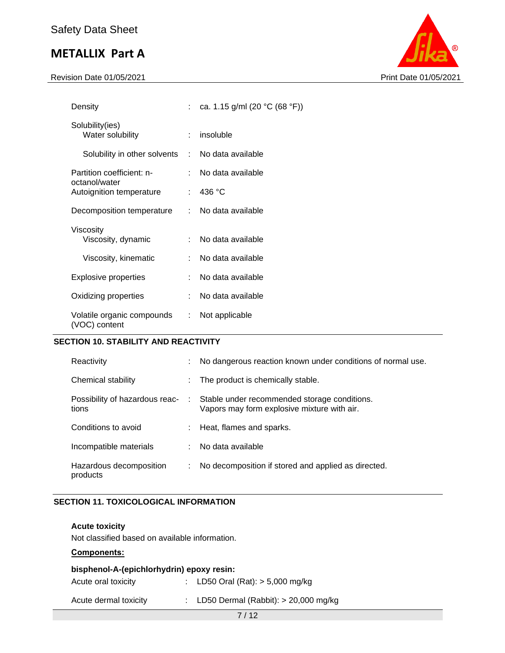Revision Date 01/05/2021 2021



| Density                                          |                             | : ca. 1.15 g/ml (20 °C (68 °F)) |
|--------------------------------------------------|-----------------------------|---------------------------------|
| Solubility(ies)<br>Water solubility              |                             | $:$ insoluble                   |
| Solubility in other solvents : No data available |                             |                                 |
| Partition coefficient: n-                        |                             | No data available               |
| octanol/water<br>Autoignition temperature        | ÷                           | 436 °C                          |
| Decomposition temperature                        |                             | : No data available             |
| Viscosity<br>Viscosity, dynamic                  |                             | : No data available             |
| Viscosity, kinematic                             | $\mathcal{F}_{\mathcal{A}}$ | No data available               |
| Explosive properties                             | t.                          | No data available               |
| Oxidizing properties                             |                             | : No data available             |
| Volatile organic compounds<br>(VOC) content      | ÷.                          | Not applicable                  |

### **SECTION 10. STABILITY AND REACTIVITY**

| Reactivity                              | t  | No dangerous reaction known under conditions of normal use.                                 |
|-----------------------------------------|----|---------------------------------------------------------------------------------------------|
| Chemical stability                      | t. | The product is chemically stable.                                                           |
| Possibility of hazardous reac-<br>tions | ÷  | Stable under recommended storage conditions.<br>Vapors may form explosive mixture with air. |
| Conditions to avoid                     | ÷  | Heat, flames and sparks.                                                                    |
| Incompatible materials                  | ÷  | No data available                                                                           |
| Hazardous decomposition<br>products     | ÷  | No decomposition if stored and applied as directed.                                         |

### **SECTION 11. TOXICOLOGICAL INFORMATION**

**Acute toxicity**

Not classified based on available information.

### **Components:**

| bisphenol-A-(epichlorhydrin) epoxy resin: |  |                                    |  |
|-------------------------------------------|--|------------------------------------|--|
| Acute oral toxicity                       |  | : LD50 Oral (Rat): $> 5,000$ mg/kg |  |

Acute dermal toxicity : LD50 Dermal (Rabbit): > 20,000 mg/kg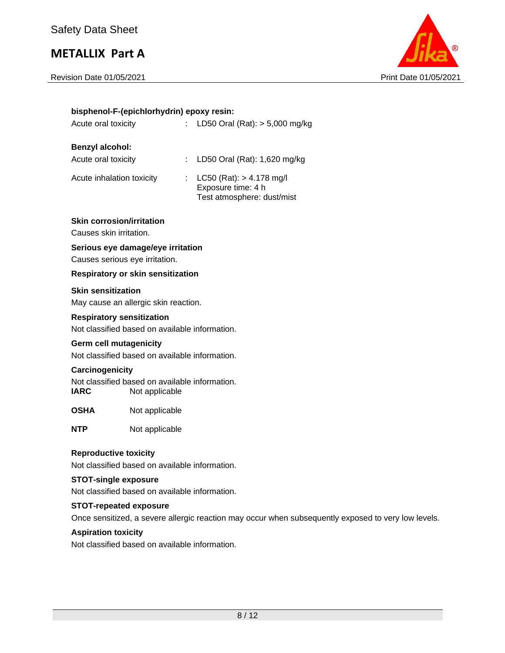Revision Date 01/05/2021 Print Date 01/05/2021



|                                                             | bisphenol-F-(epichlorhydrin) epoxy resin:                        |                                                                                                     |
|-------------------------------------------------------------|------------------------------------------------------------------|-----------------------------------------------------------------------------------------------------|
| Acute oral toxicity                                         | ÷                                                                | LD50 Oral (Rat): $> 5,000$ mg/kg                                                                    |
| <b>Benzyl alcohol:</b>                                      |                                                                  |                                                                                                     |
| Acute oral toxicity                                         |                                                                  | : LD50 Oral (Rat): 1,620 mg/kg                                                                      |
| Acute inhalation toxicity                                   | ÷.                                                               | $LC50$ (Rat): $> 4.178$ mg/l<br>Exposure time: 4 h<br>Test atmosphere: dust/mist                    |
| <b>Skin corrosion/irritation</b><br>Causes skin irritation. |                                                                  |                                                                                                     |
| Causes serious eye irritation.                              | Serious eye damage/eye irritation                                |                                                                                                     |
|                                                             | Respiratory or skin sensitization                                |                                                                                                     |
| <b>Skin sensitization</b>                                   |                                                                  |                                                                                                     |
|                                                             | May cause an allergic skin reaction.                             |                                                                                                     |
| <b>Respiratory sensitization</b>                            |                                                                  |                                                                                                     |
|                                                             | Not classified based on available information.                   |                                                                                                     |
| <b>Germ cell mutagenicity</b>                               |                                                                  |                                                                                                     |
|                                                             | Not classified based on available information.                   |                                                                                                     |
| Carcinogenicity                                             |                                                                  |                                                                                                     |
| <b>IARC</b>                                                 | Not classified based on available information.<br>Not applicable |                                                                                                     |
| <b>OSHA</b>                                                 | Not applicable                                                   |                                                                                                     |
| <b>NTP</b>                                                  | Not applicable                                                   |                                                                                                     |
| <b>Reproductive toxicity</b>                                |                                                                  |                                                                                                     |
|                                                             | Not classified based on available information.                   |                                                                                                     |
| <b>STOT-single exposure</b>                                 | Not classified based on available information.                   |                                                                                                     |
| <b>STOT-repeated exposure</b>                               |                                                                  |                                                                                                     |
|                                                             |                                                                  | Once sensitized, a severe allergic reaction may occur when subsequently exposed to very low levels. |
| <b>Aspiration toxicity</b>                                  |                                                                  |                                                                                                     |

Not classified based on available information.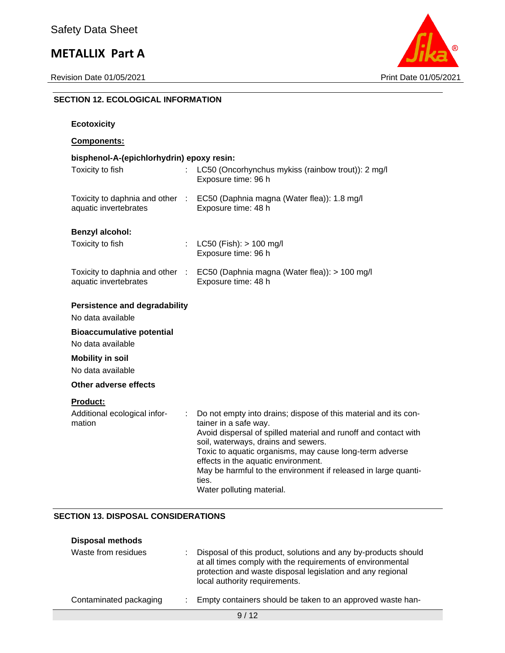

## **SECTION 12. ECOLOGICAL INFORMATION**

| bisphenol-A-(epichlorhydrin) epoxy resin:                                                                                                                                                                                                                                                                                                                                                                          |
|--------------------------------------------------------------------------------------------------------------------------------------------------------------------------------------------------------------------------------------------------------------------------------------------------------------------------------------------------------------------------------------------------------------------|
| LC50 (Oncorhynchus mykiss (rainbow trout)): 2 mg/l<br>Exposure time: 96 h                                                                                                                                                                                                                                                                                                                                          |
| Toxicity to daphnia and other : EC50 (Daphnia magna (Water flea)): 1.8 mg/l<br>Exposure time: 48 h                                                                                                                                                                                                                                                                                                                 |
|                                                                                                                                                                                                                                                                                                                                                                                                                    |
| $LC50$ (Fish): $> 100$ mg/l<br>Exposure time: 96 h                                                                                                                                                                                                                                                                                                                                                                 |
| Toxicity to daphnia and other :<br>EC50 (Daphnia magna (Water flea)): > 100 mg/l<br>Exposure time: 48 h                                                                                                                                                                                                                                                                                                            |
|                                                                                                                                                                                                                                                                                                                                                                                                                    |
|                                                                                                                                                                                                                                                                                                                                                                                                                    |
|                                                                                                                                                                                                                                                                                                                                                                                                                    |
|                                                                                                                                                                                                                                                                                                                                                                                                                    |
|                                                                                                                                                                                                                                                                                                                                                                                                                    |
|                                                                                                                                                                                                                                                                                                                                                                                                                    |
| Do not empty into drains; dispose of this material and its con-<br>t.<br>tainer in a safe way.<br>Avoid dispersal of spilled material and runoff and contact with<br>soil, waterways, drains and sewers.<br>Toxic to aquatic organisms, may cause long-term adverse<br>effects in the aquatic environment.<br>May be harmful to the environment if released in large quanti-<br>ties.<br>Water polluting material. |
|                                                                                                                                                                                                                                                                                                                                                                                                                    |

## **SECTION 13. DISPOSAL CONSIDERATIONS**

| <b>Disposal methods</b> |                                                                                                                                                                                                                             |
|-------------------------|-----------------------------------------------------------------------------------------------------------------------------------------------------------------------------------------------------------------------------|
| Waste from residues     | Disposal of this product, solutions and any by-products should<br>at all times comply with the requirements of environmental<br>protection and waste disposal legislation and any regional<br>local authority requirements. |
| Contaminated packaging  | Empty containers should be taken to an approved waste han-                                                                                                                                                                  |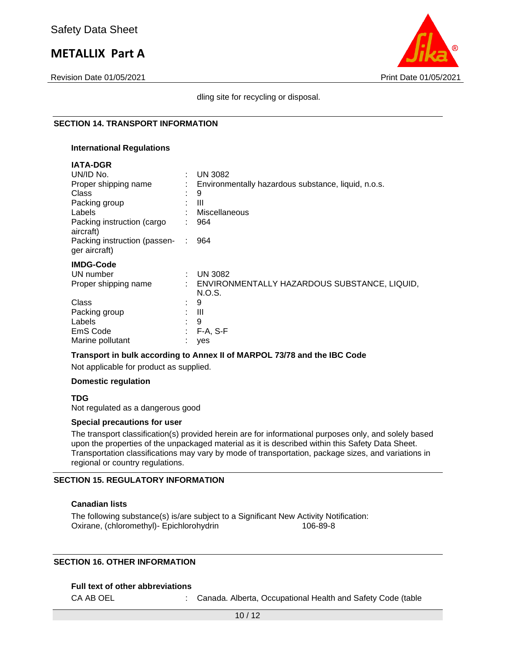Revision Date 01/05/2021 Print Date 01/05/2021

**IATA-DGR**



dling site for recycling or disposal.

#### **SECTION 14. TRANSPORT INFORMATION**

#### **International Regulations**

| IAI A-DGR                                     |        |                                                        |
|-----------------------------------------------|--------|--------------------------------------------------------|
| UN/ID No.                                     |        | <b>UN 3082</b>                                         |
| Proper shipping name                          |        | Environmentally hazardous substance, liquid, n.o.s.    |
| <b>Class</b>                                  |        | 9                                                      |
| Packing group                                 |        | Ш                                                      |
| Labels                                        |        | Miscellaneous                                          |
| Packing instruction (cargo<br>aircraft)       |        | 964                                                    |
| Packing instruction (passen-<br>ger aircraft) |        | 964                                                    |
| <b>IMDG-Code</b>                              |        |                                                        |
| UN number                                     | $\sim$ | <b>UN 3082</b>                                         |
| Proper shipping name                          |        | ENVIRONMENTALLY HAZARDOUS SUBSTANCE, LIQUID,<br>N.O.S. |
| Class                                         |        | 9                                                      |
| Packing group                                 |        | Ш                                                      |
| Labels                                        |        | 9                                                      |
| EmS Code                                      |        | $F-A, S-F$                                             |
| Marine pollutant                              |        | yes                                                    |

#### **Transport in bulk according to Annex II of MARPOL 73/78 and the IBC Code**

Not applicable for product as supplied.

#### **Domestic regulation**

**TDG**

Not regulated as a dangerous good

#### **Special precautions for user**

The transport classification(s) provided herein are for informational purposes only, and solely based upon the properties of the unpackaged material as it is described within this Safety Data Sheet. Transportation classifications may vary by mode of transportation, package sizes, and variations in regional or country regulations.

#### **SECTION 15. REGULATORY INFORMATION**

#### **Canadian lists**

The following substance(s) is/are subject to a Significant New Activity Notification: Oxirane, (chloromethyl)- Epichlorohydrin 106-89-8

#### **SECTION 16. OTHER INFORMATION**

#### **Full text of other abbreviations**

CA AB OEL : Canada. Alberta, Occupational Health and Safety Code (table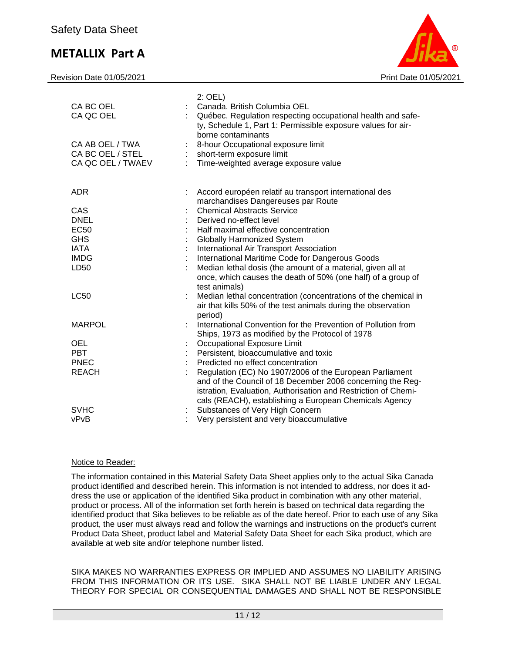Revision Date 01/05/2021 **Print Date 01/05/2021** Print Date 01/05/2021



| $2:$ OEL)<br>CA BC OEL<br>Canada. British Columbia OEL<br>CA QC OEL<br>Québec. Regulation respecting occupational health and safe-<br>ty, Schedule 1, Part 1: Permissible exposure values for air-<br>borne contaminants<br>CA AB OEL / TWA<br>8-hour Occupational exposure limit<br>CA BC OEL / STEL<br>short-term exposure limit<br>÷<br>CA QC OEL / TWAEV<br>Time-weighted average exposure value |  |
|------------------------------------------------------------------------------------------------------------------------------------------------------------------------------------------------------------------------------------------------------------------------------------------------------------------------------------------------------------------------------------------------------|--|
| <b>ADR</b><br>Accord européen relatif au transport international des<br>marchandises Dangereuses par Route                                                                                                                                                                                                                                                                                           |  |
| <b>Chemical Abstracts Service</b><br>CAS                                                                                                                                                                                                                                                                                                                                                             |  |
| <b>DNEL</b><br>Derived no-effect level                                                                                                                                                                                                                                                                                                                                                               |  |
| <b>EC50</b><br>Half maximal effective concentration                                                                                                                                                                                                                                                                                                                                                  |  |
| <b>GHS</b><br><b>Globally Harmonized System</b>                                                                                                                                                                                                                                                                                                                                                      |  |
| <b>IATA</b><br>International Air Transport Association                                                                                                                                                                                                                                                                                                                                               |  |
| <b>IMDG</b><br>International Maritime Code for Dangerous Goods                                                                                                                                                                                                                                                                                                                                       |  |
| Median lethal dosis (the amount of a material, given all at<br>LD50<br>once, which causes the death of 50% (one half) of a group of<br>test animals)                                                                                                                                                                                                                                                 |  |
| <b>LC50</b><br>Median lethal concentration (concentrations of the chemical in<br>air that kills 50% of the test animals during the observation<br>period)                                                                                                                                                                                                                                            |  |
| <b>MARPOL</b><br>International Convention for the Prevention of Pollution from<br>Ships, 1973 as modified by the Protocol of 1978                                                                                                                                                                                                                                                                    |  |
| <b>OEL</b><br>Occupational Exposure Limit                                                                                                                                                                                                                                                                                                                                                            |  |
| Persistent, bioaccumulative and toxic<br><b>PBT</b>                                                                                                                                                                                                                                                                                                                                                  |  |
| <b>PNEC</b><br>Predicted no effect concentration                                                                                                                                                                                                                                                                                                                                                     |  |
| <b>REACH</b><br>Regulation (EC) No 1907/2006 of the European Parliament<br>and of the Council of 18 December 2006 concerning the Reg-<br>istration, Evaluation, Authorisation and Restriction of Chemi-<br>cals (REACH), establishing a European Chemicals Agency                                                                                                                                    |  |
| Substances of Very High Concern<br><b>SVHC</b>                                                                                                                                                                                                                                                                                                                                                       |  |
| Very persistent and very bioaccumulative<br>vPvB                                                                                                                                                                                                                                                                                                                                                     |  |

### Notice to Reader:

The information contained in this Material Safety Data Sheet applies only to the actual Sika Canada product identified and described herein. This information is not intended to address, nor does it address the use or application of the identified Sika product in combination with any other material, product or process. All of the information set forth herein is based on technical data regarding the identified product that Sika believes to be reliable as of the date hereof. Prior to each use of any Sika product, the user must always read and follow the warnings and instructions on the product's current Product Data Sheet, product label and Material Safety Data Sheet for each Sika product, which are available at web site and/or telephone number listed.

SIKA MAKES NO WARRANTIES EXPRESS OR IMPLIED AND ASSUMES NO LIABILITY ARISING FROM THIS INFORMATION OR ITS USE. SIKA SHALL NOT BE LIABLE UNDER ANY LEGAL THEORY FOR SPECIAL OR CONSEQUENTIAL DAMAGES AND SHALL NOT BE RESPONSIBLE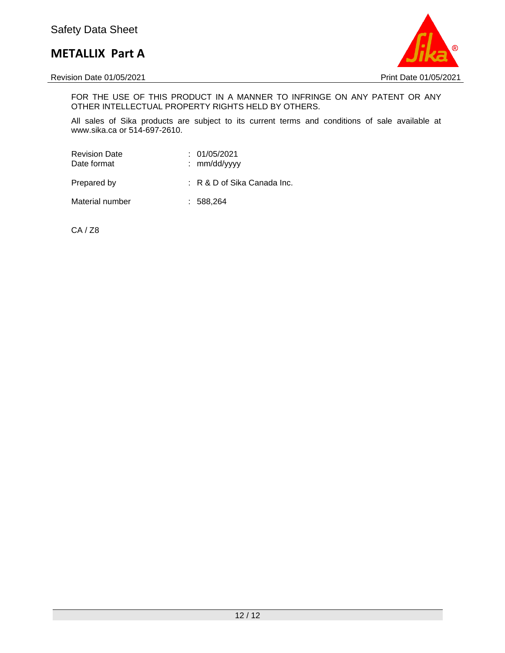

Revision Date 01/05/2021 2021

FOR THE USE OF THIS PRODUCT IN A MANNER TO INFRINGE ON ANY PATENT OR ANY OTHER INTELLECTUAL PROPERTY RIGHTS HELD BY OTHERS.

All sales of Sika products are subject to its current terms and conditions of sale available at www.sika.ca or 514-697-2610.

| <b>Revision Date</b><br>Date format | : 01/05/2021<br>: $mm/dd/vyyy$ |
|-------------------------------------|--------------------------------|
| Prepared by                         | $: R \& D$ of Sika Canada Inc. |
| Material number                     | : 588.264                      |

CA / Z8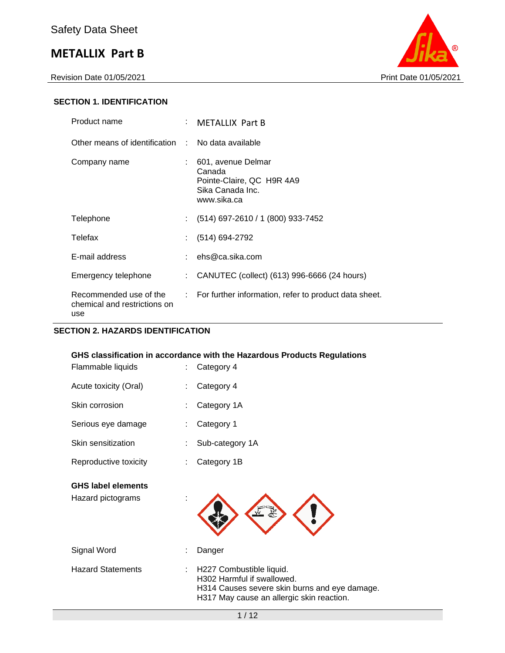Revision Date 01/05/2021 Print Date 01/05/2021



## **SECTION 1. IDENTIFICATION**

| Product name                                                  | : METALLIX Part B                                                                            |
|---------------------------------------------------------------|----------------------------------------------------------------------------------------------|
| Other means of identification : No data available             |                                                                                              |
| Company name                                                  | 601, avenue Delmar<br>Canada<br>Pointe-Claire, QC H9R 4A9<br>Sika Canada Inc.<br>www.sika.ca |
| Telephone                                                     | $(514)$ 697-2610 / 1 (800) 933-7452                                                          |
| Telefax                                                       | $(514) 694-2792$                                                                             |
| E-mail address                                                | : $ehs@ca.sika.com$                                                                          |
| Emergency telephone                                           | : CANUTEC (collect) (613) 996-6666 (24 hours)                                                |
| Recommended use of the<br>chemical and restrictions on<br>use | : For further information, refer to product data sheet.                                      |

## **SECTION 2. HAZARDS IDENTIFICATION**

| Flammable liquids<br>÷                              | GHS classification in accordance with the Hazardous Products Regulations<br>Category 4                                                               |
|-----------------------------------------------------|------------------------------------------------------------------------------------------------------------------------------------------------------|
| Acute toxicity (Oral)                               | Category 4                                                                                                                                           |
| Skin corrosion                                      | Category 1A                                                                                                                                          |
| Serious eye damage                                  | Category 1                                                                                                                                           |
| Skin sensitization                                  | Sub-category 1A                                                                                                                                      |
| Reproductive toxicity                               | Category 1B                                                                                                                                          |
| <b>GHS label elements</b><br>Hazard pictograms<br>İ |                                                                                                                                                      |
| Signal Word                                         | Danger                                                                                                                                               |
| <b>Hazard Statements</b>                            | H227 Combustible liquid.<br>H302 Harmful if swallowed.<br>H314 Causes severe skin burns and eye damage.<br>H317 May cause an allergic skin reaction. |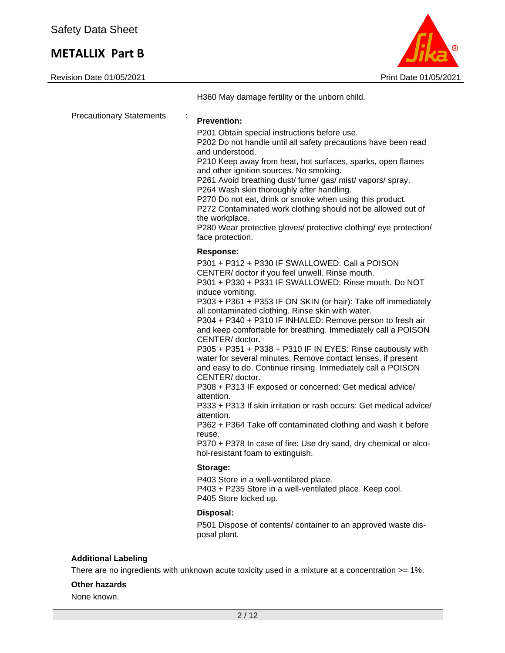

H360 May damage fertility or the unborn child.

| <b>Precautionary Statements</b> | <b>Prevention:</b>                                                                                                                                                                                                                                                                                                                                                                                                                                                                                                                                                                                                                                                                                                                                                                                                                                                                                                                                                                                                      |
|---------------------------------|-------------------------------------------------------------------------------------------------------------------------------------------------------------------------------------------------------------------------------------------------------------------------------------------------------------------------------------------------------------------------------------------------------------------------------------------------------------------------------------------------------------------------------------------------------------------------------------------------------------------------------------------------------------------------------------------------------------------------------------------------------------------------------------------------------------------------------------------------------------------------------------------------------------------------------------------------------------------------------------------------------------------------|
|                                 | P201 Obtain special instructions before use.<br>P202 Do not handle until all safety precautions have been read<br>and understood.<br>P210 Keep away from heat, hot surfaces, sparks, open flames<br>and other ignition sources. No smoking.<br>P261 Avoid breathing dust/ fume/ gas/ mist/ vapors/ spray.<br>P264 Wash skin thoroughly after handling.<br>P270 Do not eat, drink or smoke when using this product.<br>P272 Contaminated work clothing should not be allowed out of<br>the workplace.<br>P280 Wear protective gloves/ protective clothing/ eye protection/<br>face protection.                                                                                                                                                                                                                                                                                                                                                                                                                           |
|                                 | <b>Response:</b>                                                                                                                                                                                                                                                                                                                                                                                                                                                                                                                                                                                                                                                                                                                                                                                                                                                                                                                                                                                                        |
|                                 | P301 + P312 + P330 IF SWALLOWED: Call a POISON<br>CENTER/ doctor if you feel unwell. Rinse mouth.<br>P301 + P330 + P331 IF SWALLOWED: Rinse mouth, Do NOT<br>induce vomiting.<br>P303 + P361 + P353 IF ON SKIN (or hair): Take off immediately<br>all contaminated clothing. Rinse skin with water.<br>P304 + P340 + P310 IF INHALED: Remove person to fresh air<br>and keep comfortable for breathing. Immediately call a POISON<br>CENTER/ doctor.<br>P305 + P351 + P338 + P310 IF IN EYES: Rinse cautiously with<br>water for several minutes. Remove contact lenses, if present<br>and easy to do. Continue rinsing. Immediately call a POISON<br>CENTER/ doctor.<br>P308 + P313 IF exposed or concerned: Get medical advice/<br>attention.<br>P333 + P313 If skin irritation or rash occurs: Get medical advice/<br>attention.<br>P362 + P364 Take off contaminated clothing and wash it before<br>reuse.<br>P370 + P378 In case of fire: Use dry sand, dry chemical or alco-<br>hol-resistant foam to extinguish. |
|                                 | Storage:                                                                                                                                                                                                                                                                                                                                                                                                                                                                                                                                                                                                                                                                                                                                                                                                                                                                                                                                                                                                                |
|                                 | P403 Store in a well-ventilated place.<br>P403 + P235 Store in a well-ventilated place. Keep cool.<br>P405 Store locked up.                                                                                                                                                                                                                                                                                                                                                                                                                                                                                                                                                                                                                                                                                                                                                                                                                                                                                             |
|                                 | Disposal:                                                                                                                                                                                                                                                                                                                                                                                                                                                                                                                                                                                                                                                                                                                                                                                                                                                                                                                                                                                                               |
|                                 | P501 Dispose of contents/ container to an approved waste dis-                                                                                                                                                                                                                                                                                                                                                                                                                                                                                                                                                                                                                                                                                                                                                                                                                                                                                                                                                           |

### **Other hazards**

None known.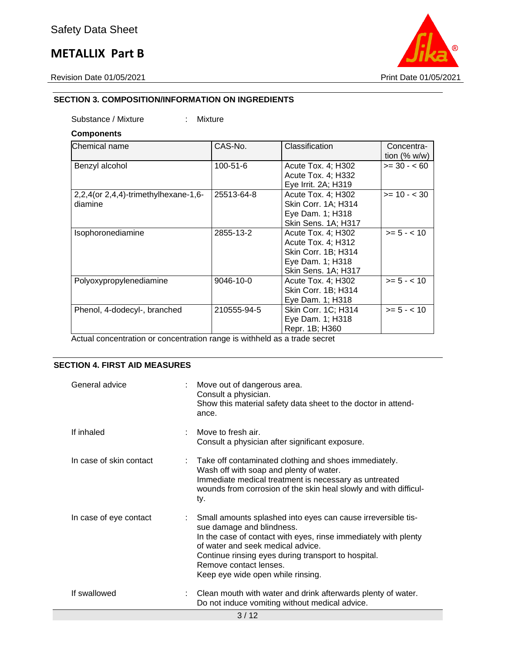

## **SECTION 3. COMPOSITION/INFORMATION ON INGREDIENTS**

Substance / Mixture : Mixture

### **Components**

| Chemical name                                   | CAS-No.        | Classification                                                                                                    | Concentra-<br>tion $(% w/w)$ |
|-------------------------------------------------|----------------|-------------------------------------------------------------------------------------------------------------------|------------------------------|
| Benzyl alcohol                                  | $100 - 51 - 6$ | Acute Tox. 4; H302<br>Acute Tox. 4; H332<br>Eye Irrit. 2A; H319                                                   | $>= 30 - 60$                 |
| 2,2,4(or 2,4,4)-trimethylhexane-1,6-<br>diamine | 25513-64-8     | Acute Tox. 4; H302<br>Skin Corr. 1A; H314<br>Eye Dam. 1; H318<br><b>Skin Sens. 1A; H317</b>                       | $>= 10 - < 30$               |
| Isophoronediamine                               | 2855-13-2      | Acute Tox. 4; H302<br>Acute Tox. 4; H312<br>Skin Corr. 1B; H314<br>Eye Dam. 1; H318<br><b>Skin Sens. 1A; H317</b> | $>= 5 - < 10$                |
| Polyoxypropylenediamine                         | 9046-10-0      | Acute Tox. 4; H302<br>Skin Corr. 1B; H314<br>Eye Dam. 1; H318                                                     | $>= 5 - < 10$                |
| Phenol, 4-dodecyl-, branched                    | 210555-94-5    | Skin Corr. 1C; H314<br>Eye Dam. 1; H318<br>Repr. 1B; H360                                                         | $>= 5 - < 10$                |

Actual concentration or concentration range is withheld as a trade secret

## **SECTION 4. FIRST AID MEASURES**

| General advice          | Move out of dangerous area.<br>Consult a physician.<br>Show this material safety data sheet to the doctor in attend-<br>ance.                                                                                                                                                                                           |
|-------------------------|-------------------------------------------------------------------------------------------------------------------------------------------------------------------------------------------------------------------------------------------------------------------------------------------------------------------------|
| If inhaled              | Move to fresh air.<br>Consult a physician after significant exposure.                                                                                                                                                                                                                                                   |
| In case of skin contact | : Take off contaminated clothing and shoes immediately.<br>Wash off with soap and plenty of water.<br>Immediate medical treatment is necessary as untreated<br>wounds from corrosion of the skin heal slowly and with difficul-<br>ty.                                                                                  |
| In case of eye contact  | Small amounts splashed into eyes can cause irreversible tis-<br>sue damage and blindness.<br>In the case of contact with eyes, rinse immediately with plenty<br>of water and seek medical advice.<br>Continue rinsing eyes during transport to hospital.<br>Remove contact lenses.<br>Keep eye wide open while rinsing. |
| If swallowed            | Clean mouth with water and drink afterwards plenty of water.<br>Do not induce vomiting without medical advice.                                                                                                                                                                                                          |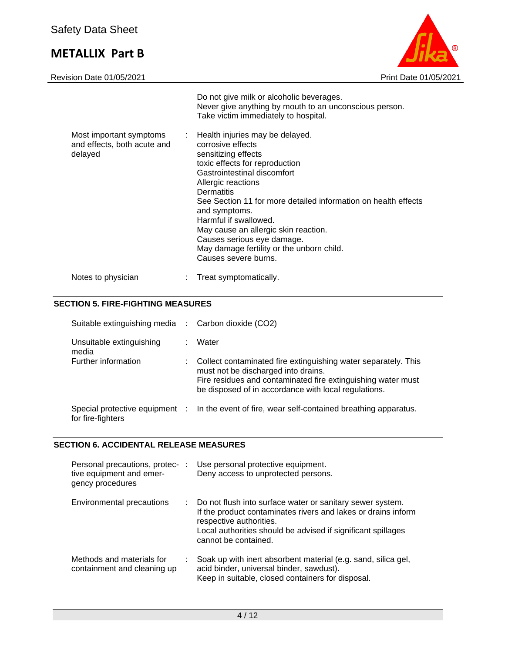

|                                                                   | Do not give milk or alcoholic beverages.<br>Never give anything by mouth to an unconscious person.<br>Take victim immediately to hospital.                                                                                                                                                                                                                                                                                                |
|-------------------------------------------------------------------|-------------------------------------------------------------------------------------------------------------------------------------------------------------------------------------------------------------------------------------------------------------------------------------------------------------------------------------------------------------------------------------------------------------------------------------------|
| Most important symptoms<br>and effects, both acute and<br>delayed | : Health injuries may be delayed.<br>corrosive effects<br>sensitizing effects<br>toxic effects for reproduction<br>Gastrointestinal discomfort<br>Allergic reactions<br>Dermatitis<br>See Section 11 for more detailed information on health effects<br>and symptoms.<br>Harmful if swallowed.<br>May cause an allergic skin reaction.<br>Causes serious eye damage.<br>May damage fertility or the unborn child.<br>Causes severe burns. |
| Notes to physician                                                | Treat symptomatically.                                                                                                                                                                                                                                                                                                                                                                                                                    |

## **SECTION 5. FIRE-FIGHTING MEASURES**

| Suitable extinguishing media :                      | Carbon dioxide (CO2)                                                                                                                                                                                                          |
|-----------------------------------------------------|-------------------------------------------------------------------------------------------------------------------------------------------------------------------------------------------------------------------------------|
| Unsuitable extinguishing<br>media                   | Water                                                                                                                                                                                                                         |
| Further information                                 | Collect contaminated fire extinguishing water separately. This<br>must not be discharged into drains.<br>Fire residues and contaminated fire extinguishing water must<br>be disposed of in accordance with local regulations. |
| Special protective equipment :<br>for fire-fighters | In the event of fire, wear self-contained breathing apparatus.                                                                                                                                                                |

## **SECTION 6. ACCIDENTAL RELEASE MEASURES**

| Personal precautions, protec- :<br>tive equipment and emer-<br>gency procedures | Use personal protective equipment.<br>Deny access to unprotected persons.                                                                                                                                                                     |
|---------------------------------------------------------------------------------|-----------------------------------------------------------------------------------------------------------------------------------------------------------------------------------------------------------------------------------------------|
| Environmental precautions<br>÷                                                  | Do not flush into surface water or sanitary sewer system.<br>If the product contaminates rivers and lakes or drains inform<br>respective authorities.<br>Local authorities should be advised if significant spillages<br>cannot be contained. |
| Methods and materials for<br>containment and cleaning up                        | Soak up with inert absorbent material (e.g. sand, silica gel,<br>acid binder, universal binder, sawdust).<br>Keep in suitable, closed containers for disposal.                                                                                |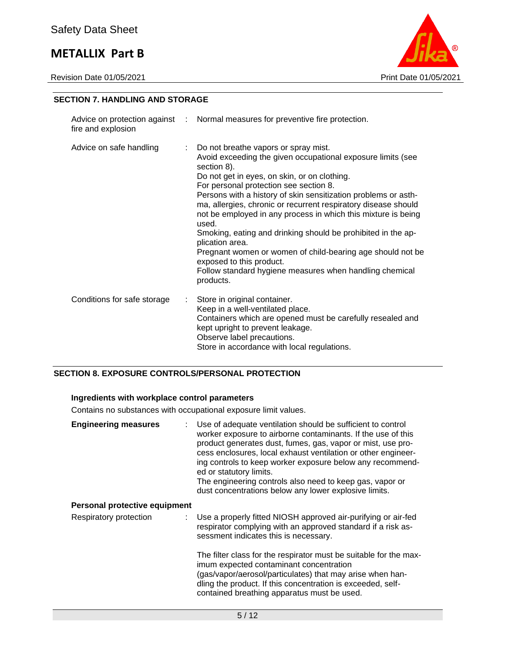Revision Date 01/05/2021 2021



### **SECTION 7. HANDLING AND STORAGE**

| fire and explosion          |    | Advice on protection against : Normal measures for preventive fire protection.                                                                                                                                                                                                                                                                                                                                                                                                                                                                                                                                                                                                  |
|-----------------------------|----|---------------------------------------------------------------------------------------------------------------------------------------------------------------------------------------------------------------------------------------------------------------------------------------------------------------------------------------------------------------------------------------------------------------------------------------------------------------------------------------------------------------------------------------------------------------------------------------------------------------------------------------------------------------------------------|
| Advice on safe handling     | t. | Do not breathe vapors or spray mist.<br>Avoid exceeding the given occupational exposure limits (see<br>section 8).<br>Do not get in eyes, on skin, or on clothing.<br>For personal protection see section 8.<br>Persons with a history of skin sensitization problems or asth-<br>ma, allergies, chronic or recurrent respiratory disease should<br>not be employed in any process in which this mixture is being<br>used.<br>Smoking, eating and drinking should be prohibited in the ap-<br>plication area.<br>Pregnant women or women of child-bearing age should not be<br>exposed to this product.<br>Follow standard hygiene measures when handling chemical<br>products. |
| Conditions for safe storage | ÷. | Store in original container.<br>Keep in a well-ventilated place.<br>Containers which are opened must be carefully resealed and<br>kept upright to prevent leakage.<br>Observe label precautions.<br>Store in accordance with local regulations.                                                                                                                                                                                                                                                                                                                                                                                                                                 |

## **SECTION 8. EXPOSURE CONTROLS/PERSONAL PROTECTION**

### **Ingredients with workplace control parameters**

Contains no substances with occupational exposure limit values.

| <b>Engineering measures</b>   | Use of adequate ventilation should be sufficient to control<br>worker exposure to airborne contaminants. If the use of this<br>product generates dust, fumes, gas, vapor or mist, use pro-<br>cess enclosures, local exhaust ventilation or other engineer-<br>ing controls to keep worker exposure below any recommend-<br>ed or statutory limits.<br>The engineering controls also need to keep gas, vapor or<br>dust concentrations below any lower explosive limits. |
|-------------------------------|--------------------------------------------------------------------------------------------------------------------------------------------------------------------------------------------------------------------------------------------------------------------------------------------------------------------------------------------------------------------------------------------------------------------------------------------------------------------------|
| Personal protective equipment |                                                                                                                                                                                                                                                                                                                                                                                                                                                                          |
| Respiratory protection        | : Use a properly fitted NIOSH approved air-purifying or air-fed<br>respirator complying with an approved standard if a risk as-<br>sessment indicates this is necessary.                                                                                                                                                                                                                                                                                                 |
|                               | The filter class for the respirator must be suitable for the max-<br>imum expected contaminant concentration<br>(gas/vapor/aerosol/particulates) that may arise when han-<br>dling the product. If this concentration is exceeded, self-<br>contained breathing apparatus must be used.                                                                                                                                                                                  |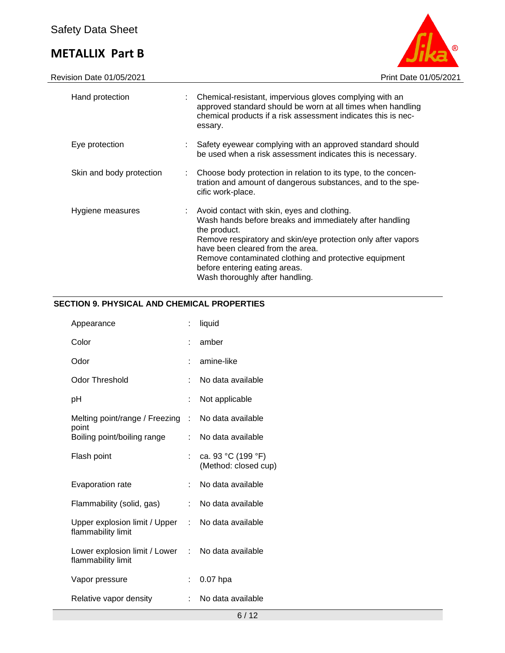

| Hand protection          | : Chemical-resistant, impervious gloves complying with an<br>approved standard should be worn at all times when handling<br>chemical products if a risk assessment indicates this is nec-<br>essary.                                                                                                                                                    |
|--------------------------|---------------------------------------------------------------------------------------------------------------------------------------------------------------------------------------------------------------------------------------------------------------------------------------------------------------------------------------------------------|
| Eye protection           | : Safety eyewear complying with an approved standard should<br>be used when a risk assessment indicates this is necessary.                                                                                                                                                                                                                              |
| Skin and body protection | : Choose body protection in relation to its type, to the concen-<br>tration and amount of dangerous substances, and to the spe-<br>cific work-place.                                                                                                                                                                                                    |
| Hygiene measures         | Avoid contact with skin, eyes and clothing.<br>Wash hands before breaks and immediately after handling<br>the product.<br>Remove respiratory and skin/eye protection only after vapors<br>have been cleared from the area.<br>Remove contaminated clothing and protective equipment<br>before entering eating areas.<br>Wash thoroughly after handling. |

## **SECTION 9. PHYSICAL AND CHEMICAL PROPERTIES**

| Appearance                                            | t. | liquid                                     |
|-------------------------------------------------------|----|--------------------------------------------|
| Color                                                 |    | amber                                      |
| Odor                                                  |    | amine-like                                 |
| <b>Odor Threshold</b>                                 |    | No data available                          |
| рH                                                    |    | Not applicable                             |
| Melting point/range / Freezing :                      |    | No data available                          |
| point<br>Boiling point/boiling range                  | t. | No data available                          |
| Flash point                                           | t. | ca. 93 °C (199 °F)<br>(Method: closed cup) |
| Evaporation rate                                      | t. | No data available                          |
| Flammability (solid, gas)                             | t. | No data available                          |
| Upper explosion limit / Upper :<br>flammability limit |    | No data available                          |
| Lower explosion limit / Lower<br>flammability limit   | t. | No data available                          |
| Vapor pressure                                        |    | $0.07$ hpa                                 |
| Relative vapor density                                |    | No data available                          |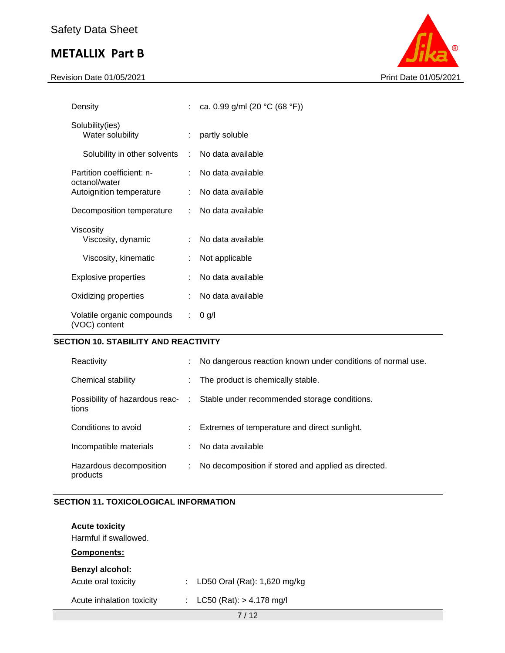Revision Date 01/05/2021 Print Date 01/05/2021



| Density                                     |      | : ca. 0.99 g/ml (20 °C (68 °F)) |
|---------------------------------------------|------|---------------------------------|
| Solubility(ies)<br>Water solubility         |      | partly soluble                  |
| Solubility in other solvents                | di l | No data available               |
| Partition coefficient: n-<br>octanol/water  |      | No data available               |
| Autoignition temperature                    |      | : No data available             |
| Decomposition temperature                   |      | : No data available             |
| Viscosity<br>Viscosity, dynamic             |      | No data available               |
| Viscosity, kinematic                        |      | Not applicable                  |
| <b>Explosive properties</b>                 |      | No data available               |
| Oxidizing properties                        |      | No data available               |
| Volatile organic compounds<br>(VOC) content |      | $0$ g/l                         |

## **SECTION 10. STABILITY AND REACTIVITY**

| Reactivity                              | ÷    | No dangerous reaction known under conditions of normal use. |
|-----------------------------------------|------|-------------------------------------------------------------|
| Chemical stability                      | ÷    | The product is chemically stable.                           |
| Possibility of hazardous reac-<br>tions | -100 | Stable under recommended storage conditions.                |
| Conditions to avoid                     |      | : Extremes of temperature and direct sunlight.              |
| Incompatible materials                  |      | No data available                                           |
| Hazardous decomposition<br>products     | ÷    | No decomposition if stored and applied as directed.         |

## **SECTION 11. TOXICOLOGICAL INFORMATION**

| <b>Acute toxicity</b><br>Harmful if swallowed.<br>Components: |                                     |  |
|---------------------------------------------------------------|-------------------------------------|--|
| Benzyl alcohol:<br>Acute oral toxicity                        | LD50 Oral (Rat): 1,620 mg/kg<br>t i |  |
| Acute inhalation toxicity                                     | : $LC50 (Rat): > 4.178 mg/l$        |  |
|                                                               | 7110                                |  |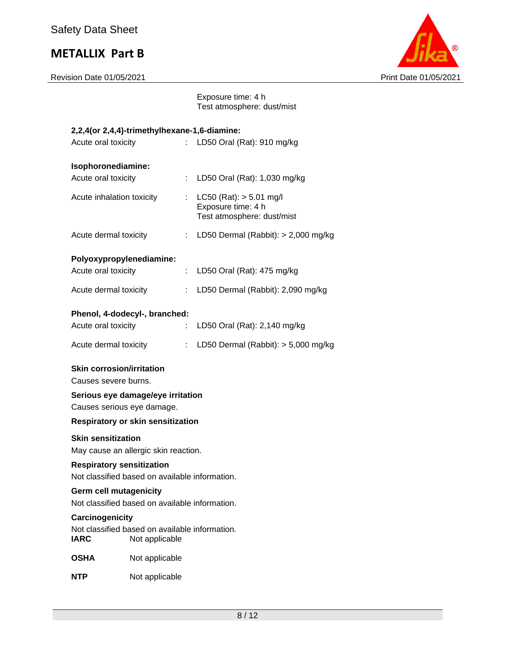

Exposure time: 4 h Test atmosphere: dust/mist

|                                                                                    | 2,2,4(or 2,4,4)-trimethylhexane-1,6-diamine:                     |    |                                                                                 |  |  |
|------------------------------------------------------------------------------------|------------------------------------------------------------------|----|---------------------------------------------------------------------------------|--|--|
| Acute oral toxicity                                                                |                                                                  |    | LD50 Oral (Rat): 910 mg/kg                                                      |  |  |
|                                                                                    |                                                                  |    |                                                                                 |  |  |
| Isophoronediamine:                                                                 |                                                                  |    |                                                                                 |  |  |
| Acute oral toxicity                                                                |                                                                  | t. | LD50 Oral (Rat): 1,030 mg/kg                                                    |  |  |
| Acute inhalation toxicity                                                          |                                                                  | ÷. | $LC50$ (Rat): $> 5.01$ mg/l<br>Exposure time: 4 h<br>Test atmosphere: dust/mist |  |  |
| Acute dermal toxicity                                                              |                                                                  | t. | LD50 Dermal (Rabbit): $> 2,000$ mg/kg                                           |  |  |
| Polyoxypropylenediamine:                                                           |                                                                  |    |                                                                                 |  |  |
| Acute oral toxicity                                                                |                                                                  | ÷. | LD50 Oral (Rat): 475 mg/kg                                                      |  |  |
| Acute dermal toxicity                                                              |                                                                  | ÷. | LD50 Dermal (Rabbit): 2,090 mg/kg                                               |  |  |
|                                                                                    | Phenol, 4-dodecyl-, branched:                                    |    |                                                                                 |  |  |
| Acute oral toxicity                                                                |                                                                  |    | LD50 Oral (Rat): 2,140 mg/kg                                                    |  |  |
| Acute dermal toxicity                                                              |                                                                  | t  | LD50 Dermal (Rabbit): $> 5,000$ mg/kg                                           |  |  |
| <b>Skin corrosion/irritation</b>                                                   |                                                                  |    |                                                                                 |  |  |
| Causes severe burns.                                                               |                                                                  |    |                                                                                 |  |  |
|                                                                                    | Serious eye damage/eye irritation                                |    |                                                                                 |  |  |
| Causes serious eye damage.                                                         |                                                                  |    |                                                                                 |  |  |
| <b>Respiratory or skin sensitization</b>                                           |                                                                  |    |                                                                                 |  |  |
| <b>Skin sensitization</b>                                                          | May cause an allergic skin reaction.                             |    |                                                                                 |  |  |
| <b>Respiratory sensitization</b><br>Not classified based on available information. |                                                                  |    |                                                                                 |  |  |
| <b>Germ cell mutagenicity</b><br>Not classified based on available information.    |                                                                  |    |                                                                                 |  |  |
| Carcinogenicity                                                                    |                                                                  |    |                                                                                 |  |  |
| <b>IARC</b>                                                                        | Not classified based on available information.<br>Not applicable |    |                                                                                 |  |  |
| <b>OSHA</b>                                                                        | Not applicable                                                   |    |                                                                                 |  |  |
| <b>NTP</b>                                                                         | Not applicable                                                   |    |                                                                                 |  |  |
|                                                                                    |                                                                  |    |                                                                                 |  |  |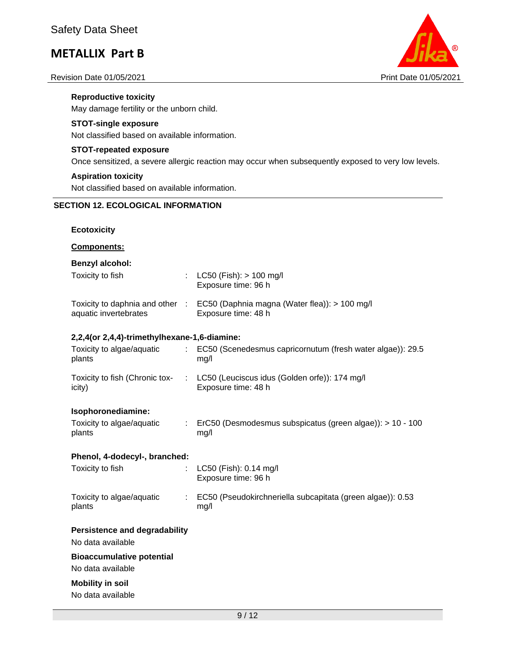#### Revision Date 01/05/2021 **Print Date 01/05/2021** Print Date 01/05/2021



**Reproductive toxicity** May damage fertility or the unborn child.

### **STOT-single exposure**

Not classified based on available information.

### **STOT-repeated exposure**

Once sensitized, a severe allergic reaction may occur when subsequently exposed to very low levels.

#### **Aspiration toxicity**

Not classified based on available information.

## **SECTION 12. ECOLOGICAL INFORMATION**

### **Ecotoxicity**

### **Components:**

### **Benzyl alcohol:**

| Toxicity to fish                                         | : $LC50$ (Fish): $> 100$ mg/l<br>Exposure time: 96 h                 |
|----------------------------------------------------------|----------------------------------------------------------------------|
| Toxicity to daphnia and other :<br>aquatic invertebrates | EC50 (Daphnia magna (Water flea)): > 100 mg/l<br>Exposure time: 48 h |

### **2,2,4(or 2,4,4)-trimethylhexane-1,6-diamine:**

| Toxicity to algae/aquatic<br>plants      | EC50 (Scenedesmus capricornutum (fresh water algae)): 29.5<br>ma/l                |
|------------------------------------------|-----------------------------------------------------------------------------------|
| Toxicity to fish (Chronic tox-<br>icity) | $\therefore$ LC50 (Leuciscus idus (Golden orfe)): 174 mg/l<br>Exposure time: 48 h |

#### **Isophoronediamine:**

| Toxicity to algae/aquatic | ErC50 (Desmodesmus subspicatus (green algae)): > 10 - 100 |
|---------------------------|-----------------------------------------------------------|
| plants                    | mg/l                                                      |

#### **Phenol, 4-dodecyl-, branched:**

| Toxicity to fish                    | : $LC50$ (Fish): 0.14 mg/l<br>Exposure time: 96 h                  |
|-------------------------------------|--------------------------------------------------------------------|
| Toxicity to algae/aquatic<br>plants | EC50 (Pseudokirchneriella subcapitata (green algae)): 0.53<br>mq/l |

## **Persistence and degradability**

No data available

## **Bioaccumulative potential**

No data available

# **Mobility in soil**

No data available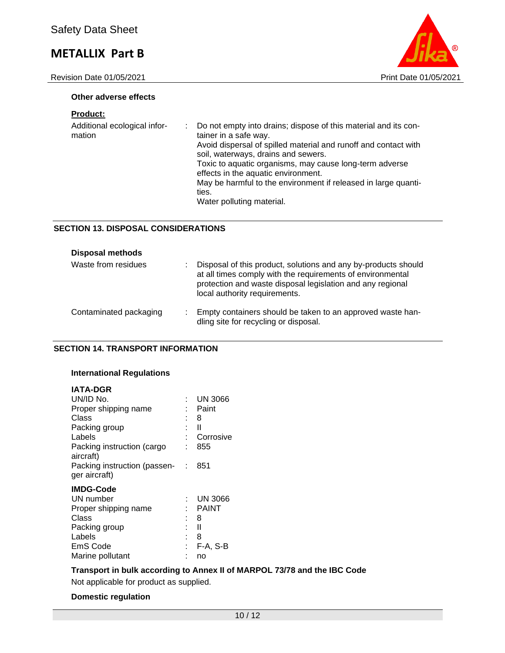Revision Date 01/05/2021 2021



#### **Other adverse effects**

## **Product:**

| Additional ecological infor-<br>mation | Do not empty into drains; dispose of this material and its con-<br>tainer in a safe way.<br>Avoid dispersal of spilled material and runoff and contact with<br>soil, waterways, drains and sewers.<br>Toxic to aquatic organisms, may cause long-term adverse<br>effects in the aquatic environment.<br>May be harmful to the environment if released in large quanti-<br>ties. |
|----------------------------------------|---------------------------------------------------------------------------------------------------------------------------------------------------------------------------------------------------------------------------------------------------------------------------------------------------------------------------------------------------------------------------------|
|                                        | Water polluting material.                                                                                                                                                                                                                                                                                                                                                       |

## **SECTION 13. DISPOSAL CONSIDERATIONS**

| <b>Disposal methods</b> |                                                                                                                                                                                                                             |
|-------------------------|-----------------------------------------------------------------------------------------------------------------------------------------------------------------------------------------------------------------------------|
| Waste from residues     | Disposal of this product, solutions and any by-products should<br>at all times comply with the requirements of environmental<br>protection and waste disposal legislation and any regional<br>local authority requirements. |
| Contaminated packaging  | Empty containers should be taken to an approved waste han-<br>dling site for recycling or disposal.                                                                                                                         |

#### **SECTION 14. TRANSPORT INFORMATION**

### **International Regulations**

#### **IATA-DGR**

| UN/ID No.                                                    |   | <b>UN 3066</b> |
|--------------------------------------------------------------|---|----------------|
| Proper shipping name                                         |   | Paint          |
| Class                                                        | ٠ | 8              |
| Packing group                                                |   | Ш              |
| Labels                                                       |   | Corrosive      |
| Packing instruction (cargo                                   |   | 855            |
| aircraft)<br>Packing instruction (passen- :<br>ger aircraft) |   | 851            |
| <b>IMDG-Code</b>                                             |   |                |
| UN number                                                    |   | <b>UN 3066</b> |
| Proper shipping name                                         |   | <b>PAINT</b>   |
| Class                                                        |   | 8              |
| Packing group                                                |   | Ш              |
| Labels                                                       | ٠ | 8              |
| EmS Code                                                     |   |                |
|                                                              |   | $F-A, S-B$     |

## **Transport in bulk according to Annex II of MARPOL 73/78 and the IBC Code**

Not applicable for product as supplied.

### **Domestic regulation**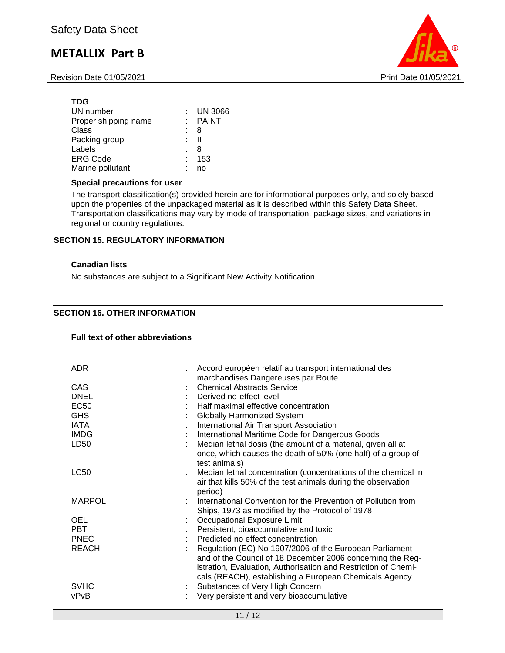Revision Date 01/05/2021 **Print Date 01/05/2021** Print Date 01/05/2021



### **TDG**

| UN number            |   | $:$ UN 3066 |
|----------------------|---|-------------|
| Proper shipping name |   | : PAINT     |
| Class                |   | -8          |
| Packing group        |   | H           |
| Labels               | t | -8          |
| <b>ERG Code</b>      |   | : 153       |
| Marine pollutant     |   | no          |

#### **Special precautions for user**

The transport classification(s) provided herein are for informational purposes only, and solely based upon the properties of the unpackaged material as it is described within this Safety Data Sheet. Transportation classifications may vary by mode of transportation, package sizes, and variations in regional or country regulations.

## **SECTION 15. REGULATORY INFORMATION**

### **Canadian lists**

No substances are subject to a Significant New Activity Notification.

## **SECTION 16. OTHER INFORMATION**

#### **Full text of other abbreviations**

| <b>ADR</b>                                                                     | Accord européen relatif au transport international des<br>marchandises Dangereuses par Route                                                                                                                                                                                                                                                                           |
|--------------------------------------------------------------------------------|------------------------------------------------------------------------------------------------------------------------------------------------------------------------------------------------------------------------------------------------------------------------------------------------------------------------------------------------------------------------|
| <b>CAS</b><br><b>DNEL</b><br>EC50<br><b>GHS</b><br>IATA<br><b>IMDG</b><br>LD50 | <b>Chemical Abstracts Service</b><br>Derived no-effect level<br>Half maximal effective concentration<br><b>Globally Harmonized System</b><br>International Air Transport Association<br>International Maritime Code for Dangerous Goods<br>Median lethal dosis (the amount of a material, given all at<br>once, which causes the death of 50% (one half) of a group of |
| <b>LC50</b>                                                                    | test animals)<br>Median lethal concentration (concentrations of the chemical in<br>air that kills 50% of the test animals during the observation<br>period)                                                                                                                                                                                                            |
| <b>MARPOL</b>                                                                  | International Convention for the Prevention of Pollution from<br>Ships, 1973 as modified by the Protocol of 1978                                                                                                                                                                                                                                                       |
| <b>OEL</b>                                                                     | Occupational Exposure Limit                                                                                                                                                                                                                                                                                                                                            |
| <b>PBT</b>                                                                     | Persistent, bioaccumulative and toxic                                                                                                                                                                                                                                                                                                                                  |
| <b>PNEC</b>                                                                    | Predicted no effect concentration                                                                                                                                                                                                                                                                                                                                      |
| <b>REACH</b>                                                                   | Regulation (EC) No 1907/2006 of the European Parliament<br>and of the Council of 18 December 2006 concerning the Reg-<br>istration, Evaluation, Authorisation and Restriction of Chemi-<br>cals (REACH), establishing a European Chemicals Agency                                                                                                                      |
| <b>SVHC</b>                                                                    | Substances of Very High Concern                                                                                                                                                                                                                                                                                                                                        |
| vPvB                                                                           | Very persistent and very bioaccumulative                                                                                                                                                                                                                                                                                                                               |